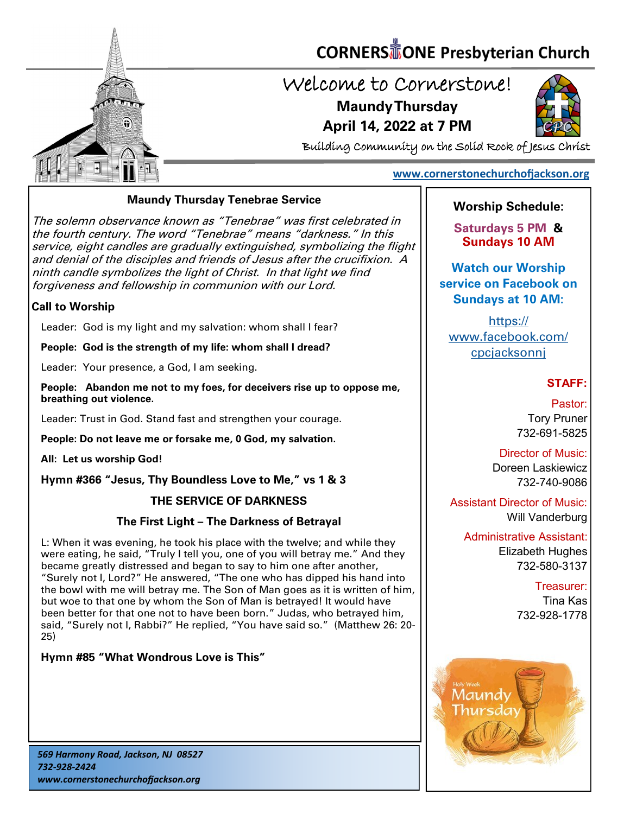

# **CORNERS** TONE Presbyterian Church

## Welcome to Cornerstone! **Maundy Thursday**

**April 14, 2022 at 7 PM**



Building Community on the Solid Rock of Jesus Christ

### **[www.cornerstonechurchofjackson.org](http://www.cornerstonechurchofjackson.org)**

#### **Maundy Thursday Tenebrae Service**

 service, eight candles are gradually extinguished, symbolizing the flight The solemn observance known as "Tenebrae" was first celebrated in the fourth century. The word "Tenebrae" means "darkness." In this and denial of the disciples and friends of Jesus after the crucifixion. A ninth candle symbolizes the light of Christ. In that light we find forgiveness and fellowship in communion with our Lord.

#### **Call to Worship**

Leader: God is my light and my salvation: whom shall I fear?

**People: God is the strength of my life: whom shall I dread?**

Leader: Your presence, a God, I am seeking.

**People: Abandon me not to my foes, for deceivers rise up to oppose me, breathing out violence.**

Leader: Trust in God. Stand fast and strengthen your courage.

**People: Do not leave me or forsake me, 0 God, my salvation.**

**All: Let us worship God!** 

**Hymn #366 "Jesus, Thy Boundless Love to Me," vs 1 & 3**

#### **THE SERVICE OF DARKNESS**

#### **The First Light – The Darkness of Betrayal**

L: When it was evening, he took his place with the twelve; and while they were eating, he said, "Truly I tell you, one of you will betray me." And they became greatly distressed and began to say to him one after another, "Surely not I, Lord?" He answered, "The one who has dipped his hand into the bowl with me will betray me. The Son of Man goes as it is written of him, but woe to that one by whom the Son of Man is betrayed! It would have been better for that one not to have been born." Judas, who betrayed him, said, "Surely not I, Rabbi?" He replied, "You have said so." (Matthew 26: 20- 25)

#### **Hymn #85 "What Wondrous Love is This"**

#### *569 Harmony Road, Jackson, NJ 08527 732-928-2424 www.cornerstonechurchofjackson.org*

## **Worship Schedule:**

**Saturdays 5 PM & Sundays 10 AM**

**Watch our Worship service on Facebook on Sundays at 10 AM:**

[https://](https://www.facebook.com/cpcjacksonnj) [www.facebook.com/](https://www.facebook.com/cpcjacksonnj) [cpcjacksonnj](https://www.facebook.com/cpcjacksonnj)

#### **STAFF:**

Pastor: Tory Pruner 732-691-5825

Director of Music: Doreen Laskiewicz 732-740-9086

Assistant Director of Music: Will Vanderburg

Administrative Assistant: Elizabeth Hughes 732-580-3137

> Treasurer: Tina Kas 732-928-1778

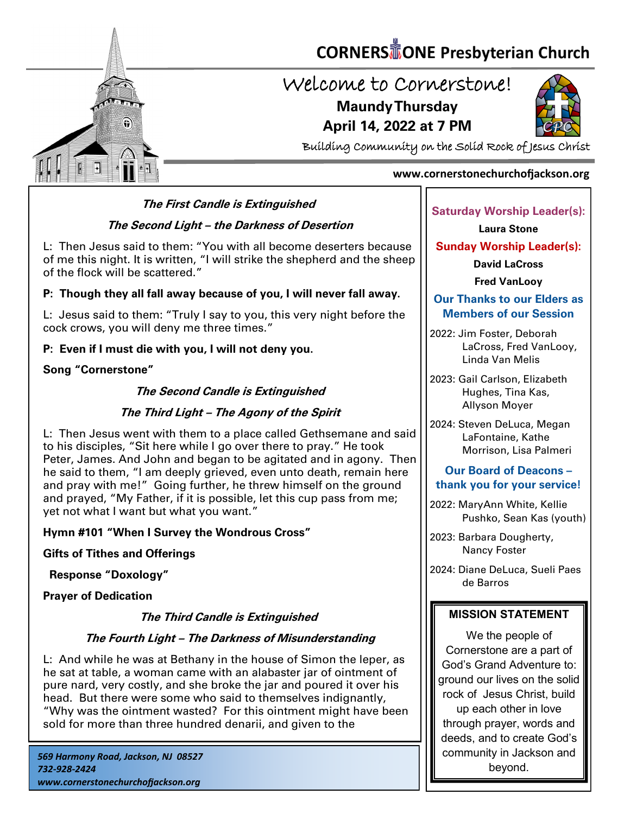

# **CORNERS** TONE Presbyterian Church

# Welcome to Cornerstone! **Maundy Thursday**

**April 14, 2022 at 7 PM**



Building Community on the Solid Rock of Jesus Christ

#### **www.cornerstonechurchofjackson.org**

#### **The First Candle is Extinguished**

#### **The Second Light – the Darkness of Desertion**

 L: Then Jesus said to them: "You with all become deserters because of me this night. It is written, "I will strike the shepherd and the sheep of the flock will be scattered."

#### **P: Though they all fall away because of you, I will never fall away.**

L: Jesus said to them: "Truly I say to you, this very night before the cock crows, you will deny me three times."

#### **P: Even if I must die with you, I will not deny you.**

#### **Song "Cornerstone"**

#### **The Second Candle is Extinguished**

#### **The Third Light – The Agony of the Spirit**

L: Then Jesus went with them to a place called Gethsemane and said to his disciples, "Sit here while I go over there to pray." He took Peter, James. And John and began to be agitated and in agony. Then he said to them, "I am deeply grieved, even unto death, remain here and pray with me!" Going further, he threw himself on the ground and prayed, "My Father, if it is possible, let this cup pass from me; yet not what I want but what you want."

#### **Hymn #101 "When I Survey the Wondrous Cross"**

**Gifts of Tithes and Offerings** 

 **Response "Doxology"**

**Prayer of Dedication** 

#### **The Third Candle is Extinguished**

#### **The Fourth Light – The Darkness of Misunderstanding**

L: And while he was at Bethany in the house of Simon the leper, as he sat at table, a woman came with an alabaster jar of ointment of pure nard, very costly, and she broke the jar and poured it over his head. But there were some who said to themselves indignantly, "Why was the ointment wasted? For this ointment might have been sold for more than three hundred denarii, and given to the

#### **Saturday Worship Leader(s):**

**Laura Stone**

#### **Sunday Worship Leader(s):**

**David LaCross**

**Fred VanLooy**

#### **Our Thanks to our Elders as Members of our Session**

2022: Jim Foster, Deborah LaCross, Fred VanLooy, Linda Van Melis

2023: Gail Carlson, Elizabeth Hughes, Tina Kas, Allyson Moyer

2024: Steven DeLuca, Megan LaFontaine, Kathe Morrison, Lisa Palmeri

#### **Our Board of Deacons – thank you for your service!**

2022: MaryAnn White, Kellie Pushko, Sean Kas (youth)

2023: Barbara Dougherty, Nancy Foster

2024: Diane DeLuca, Sueli Paes de Barros

#### **MISSION STATEMENT**

We the people of Cornerstone are a part of God's Grand Adventure to: ground our lives on the solid rock of Jesus Christ, build up each other in love through prayer, words and deeds, and to create God's community in Jackson and beyond.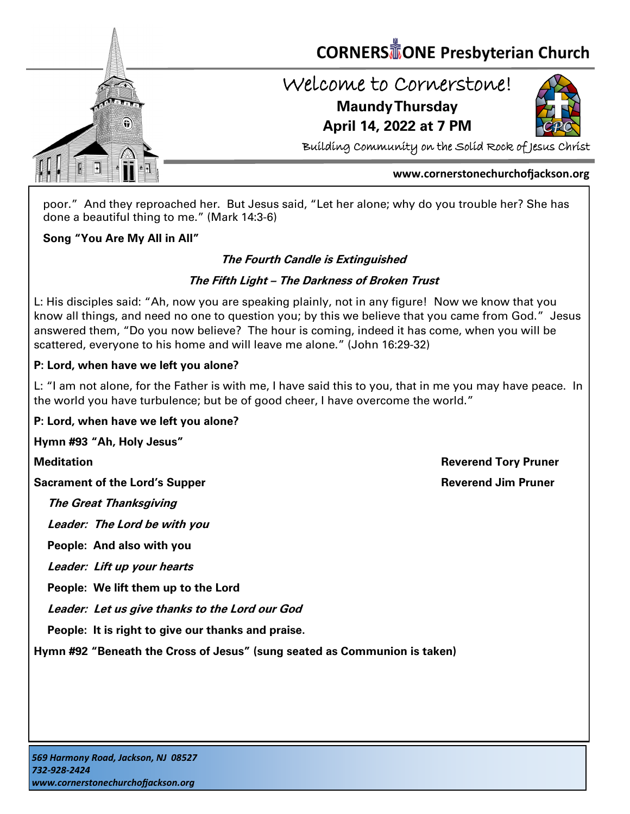

poor." And they reproached her. But Jesus said, "Let her alone; why do you trouble her? She has done a beautiful thing to me." (Mark 14:3-6)

#### **Song "You Are My All in All"**

#### **The Fourth Candle is Extinguished**

#### **The Fifth Light – The Darkness of Broken Trust**

L: His disciples said: "Ah, now you are speaking plainly, not in any figure! Now we know that you know all things, and need no one to question you; by this we believe that you came from God." Jesus answered them, "Do you now believe? The hour is coming, indeed it has come, when you will be scattered, everyone to his home and will leave me alone." (John 16:29-32)

#### **P: Lord, when have we left you alone?**

L: "I am not alone, for the Father is with me, I have said this to you, that in me you may have peace. In the world you have turbulence; but be of good cheer, I have overcome the world."

#### **P: Lord, when have we left you alone?**

**Hymn #93 "Ah, Holy Jesus"** 

**Sacrament of the Lord's Supper <b>Reverend Jim Pruner** Reverend Jim Pruner

**The Great Thanksgiving**

**Leader: The Lord be with you**

**People: And also with you**

**Leader: Lift up your hearts**

**People: We lift them up to the Lord**

**Leader: Let us give thanks to the Lord our God**

**People: It is right to give our thanks and praise.**

**Hymn #92 "Beneath the Cross of Jesus" (sung seated as Communion is taken)**

**Meditation Reverend Tory Pruner**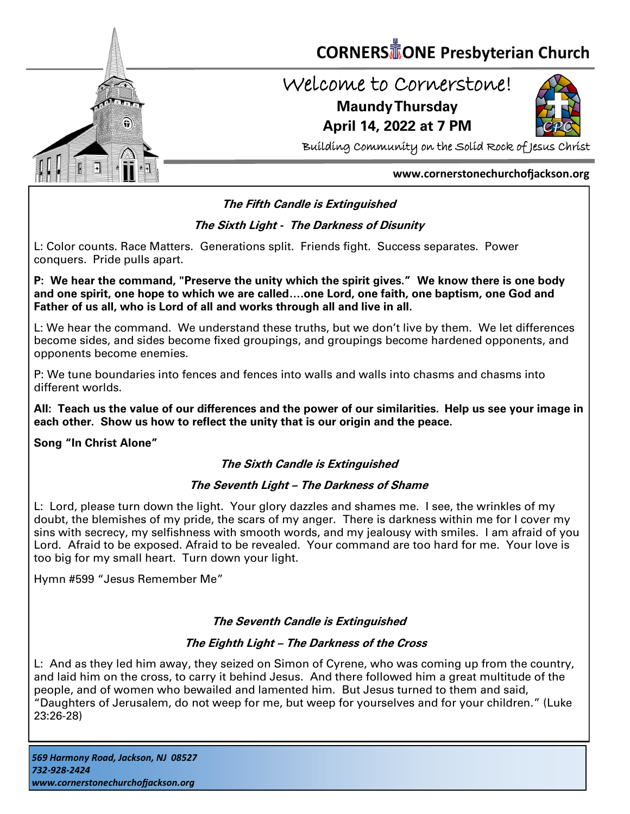

# **CORNERS TONE Presbyterian Church**

## Welcome to Cornerstone! **Maundy Thursday**

**April 14, 2022 at 7 PM**



Building Community on the Solid Rock of Jesus Christ

#### **www.cornerstonechurchofjackson.org**

#### **The Fifth Candle is Extinguished**

#### **The Sixth Light - The Darkness of Disunity**

 L: Color counts. Race Matters. Generations split. Friends fight. Success separates. Power conquers. Pride pulls apart.

**P: We hear the command, "Preserve the unity which the spirit gives." We know there is one body and one spirit, one hope to which we are called….one Lord, one faith, one baptism, one God and Father of us all, who is Lord of all and works through all and live in all.**

L: We hear the command. We understand these truths, but we don't live by them. We let differences become sides, and sides become fixed groupings, and groupings become hardened opponents, and opponents become enemies.

P: We tune boundaries into fences and fences into walls and walls into chasms and chasms into different worlds.

**All: Teach us the value of our differences and the power of our similarities. Help us see your image in each other. Show us how to reflect the unity that is our origin and the peace.**

**Song "In Christ Alone"**

#### **The Sixth Candle is Extinguished**

#### **The Seventh Light – The Darkness of Shame**

L: Lord, please turn down the light. Your glory dazzles and shames me. I see, the wrinkles of my doubt, the blemishes of my pride, the scars of my anger. There is darkness within me for I cover my sins with secrecy, my selfishness with smooth words, and my jealousy with smiles. I am afraid of you Lord. Afraid to be exposed. Afraid to be revealed. Your command are too hard for me. Your love is too big for my small heart. Turn down your light.

Hymn #599 "Jesus Remember Me"

#### **The Seventh Candle is Extinguished**

#### **The Eighth Light – The Darkness of the Cross**

L: And as they led him away, they seized on Simon of Cyrene, who was coming up from the country, and laid him on the cross, to carry it behind Jesus. And there followed him a great multitude of the people, and of women who bewailed and lamented him. But Jesus turned to them and said, "Daughters of Jerusalem, do not weep for me, but weep for yourselves and for your children." (Luke 23:26-28)